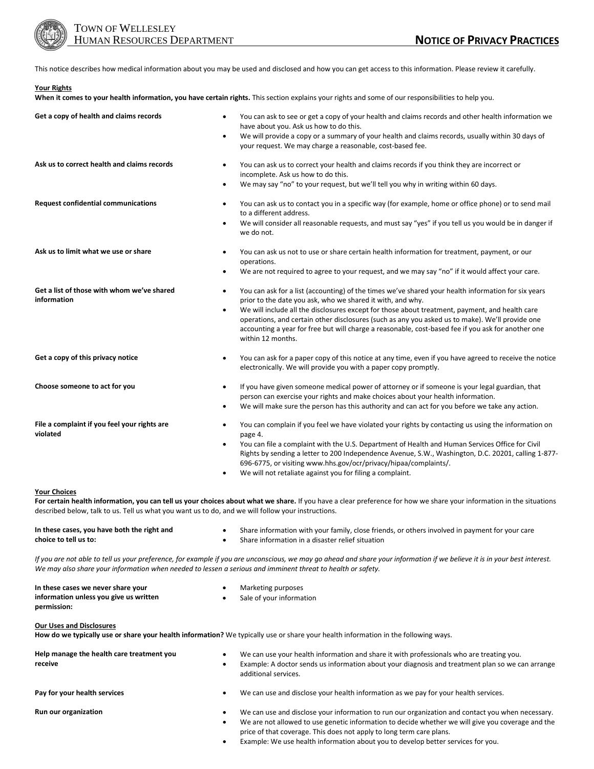

## TOWN OF WELLESLEY HUMAN RESOURCES DEPARTMENT

This notice describes how medical information about you may be used and disclosed and how you can get access to this information. Please review it carefully.

|  | <b>Your Rights</b> |
|--|--------------------|
|--|--------------------|

**When it comes to your health information, you have certain rights.** This section explains your rights and some of our responsibilities to help you.

| Get a copy of health and claims records                   | You can ask to see or get a copy of your health and claims records and other health information we<br>have about you. Ask us how to do this.                                                                                                                                                                                 |
|-----------------------------------------------------------|------------------------------------------------------------------------------------------------------------------------------------------------------------------------------------------------------------------------------------------------------------------------------------------------------------------------------|
|                                                           | We will provide a copy or a summary of your health and claims records, usually within 30 days of<br>your request. We may charge a reasonable, cost-based fee.                                                                                                                                                                |
| Ask us to correct health and claims records               | You can ask us to correct your health and claims records if you think they are incorrect or<br>$\bullet$<br>incomplete. Ask us how to do this.                                                                                                                                                                               |
|                                                           | We may say "no" to your request, but we'll tell you why in writing within 60 days.<br>$\bullet$                                                                                                                                                                                                                              |
| <b>Request confidential communications</b>                | You can ask us to contact you in a specific way (for example, home or office phone) or to send mail<br>٠<br>to a different address.                                                                                                                                                                                          |
|                                                           | We will consider all reasonable requests, and must say "yes" if you tell us you would be in danger if<br>$\bullet$<br>we do not.                                                                                                                                                                                             |
| Ask us to limit what we use or share                      | You can ask us not to use or share certain health information for treatment, payment, or our<br>operations.                                                                                                                                                                                                                  |
|                                                           | We are not required to agree to your request, and we may say "no" if it would affect your care.<br>٠                                                                                                                                                                                                                         |
| Get a list of those with whom we've shared<br>information | You can ask for a list (accounting) of the times we've shared your health information for six years<br>$\bullet$<br>prior to the date you ask, who we shared it with, and why.                                                                                                                                               |
|                                                           | We will include all the disclosures except for those about treatment, payment, and health care<br>operations, and certain other disclosures (such as any you asked us to make). We'll provide one<br>accounting a year for free but will charge a reasonable, cost-based fee if you ask for another one<br>within 12 months. |
| Get a copy of this privacy notice                         | You can ask for a paper copy of this notice at any time, even if you have agreed to receive the notice<br>electronically. We will provide you with a paper copy promptly.                                                                                                                                                    |
| Choose someone to act for you                             | If you have given someone medical power of attorney or if someone is your legal guardian, that<br>$\bullet$<br>person can exercise your rights and make choices about your health information.                                                                                                                               |
|                                                           | We will make sure the person has this authority and can act for you before we take any action.<br>$\bullet$                                                                                                                                                                                                                  |
| File a complaint if you feel your rights are<br>violated  | You can complain if you feel we have violated your rights by contacting us using the information on<br>$\bullet$<br>page 4.                                                                                                                                                                                                  |
|                                                           | You can file a complaint with the U.S. Department of Health and Human Services Office for Civil<br>$\bullet$<br>Rights by sending a letter to 200 Independence Avenue, S.W., Washington, D.C. 20201, calling 1-877-<br>696-6775, or visiting www.hhs.gov/ocr/privacy/hipaa/complaints/.                                      |
|                                                           | We will not retaliate against you for filing a complaint.                                                                                                                                                                                                                                                                    |
| <b>Your Choices</b>                                       | For certain health information, you can tell us your choices about what we share. If you have a clear preference for how we share your information in the situations                                                                                                                                                         |

**For certain health information, you can tell us your choices about what we share.** If you have a clear preference for how we share your information in the situations described below, talk to us. Tell us what you want us to do, and we will follow your instructions.

| In these cases, you have both the right and | Share information with your family, close friends, or others involved in payment for your care |
|---------------------------------------------|------------------------------------------------------------------------------------------------|
| choice to tell us to:                       | Share information in a disaster relief situation                                               |

*If you are not able to tell us your preference, for example if you are unconscious, we may go ahead and share your information if we believe it is in your best interest. We may also share your information when needed to lessen a serious and imminent threat to health or safety.*

| In these cases we never share your     | Marketing purposes       |
|----------------------------------------|--------------------------|
| information unless you give us written | Sale of your information |
| permission:                            |                          |

**Our Uses and Disclosures**

**How do we typically use or share your health information?** We typically use or share your health information in the following ways.

| Help manage the health care treatment you<br>receive | We can use your health information and share it with professionals who are treating you.<br>Example: A doctor sends us information about your diagnosis and treatment plan so we can arrange<br>additional services.                                                          |
|------------------------------------------------------|-------------------------------------------------------------------------------------------------------------------------------------------------------------------------------------------------------------------------------------------------------------------------------|
| Pay for your health services                         | We can use and disclose your health information as we pay for your health services.                                                                                                                                                                                           |
| Run our organization                                 | We can use and disclose your information to run our organization and contact you when necessary.<br>We are not allowed to use genetic information to decide whether we will give you coverage and the<br>price of that coverage. This does not apply to long term care plans. |

• Example: We use health information about you to develop better services for you.